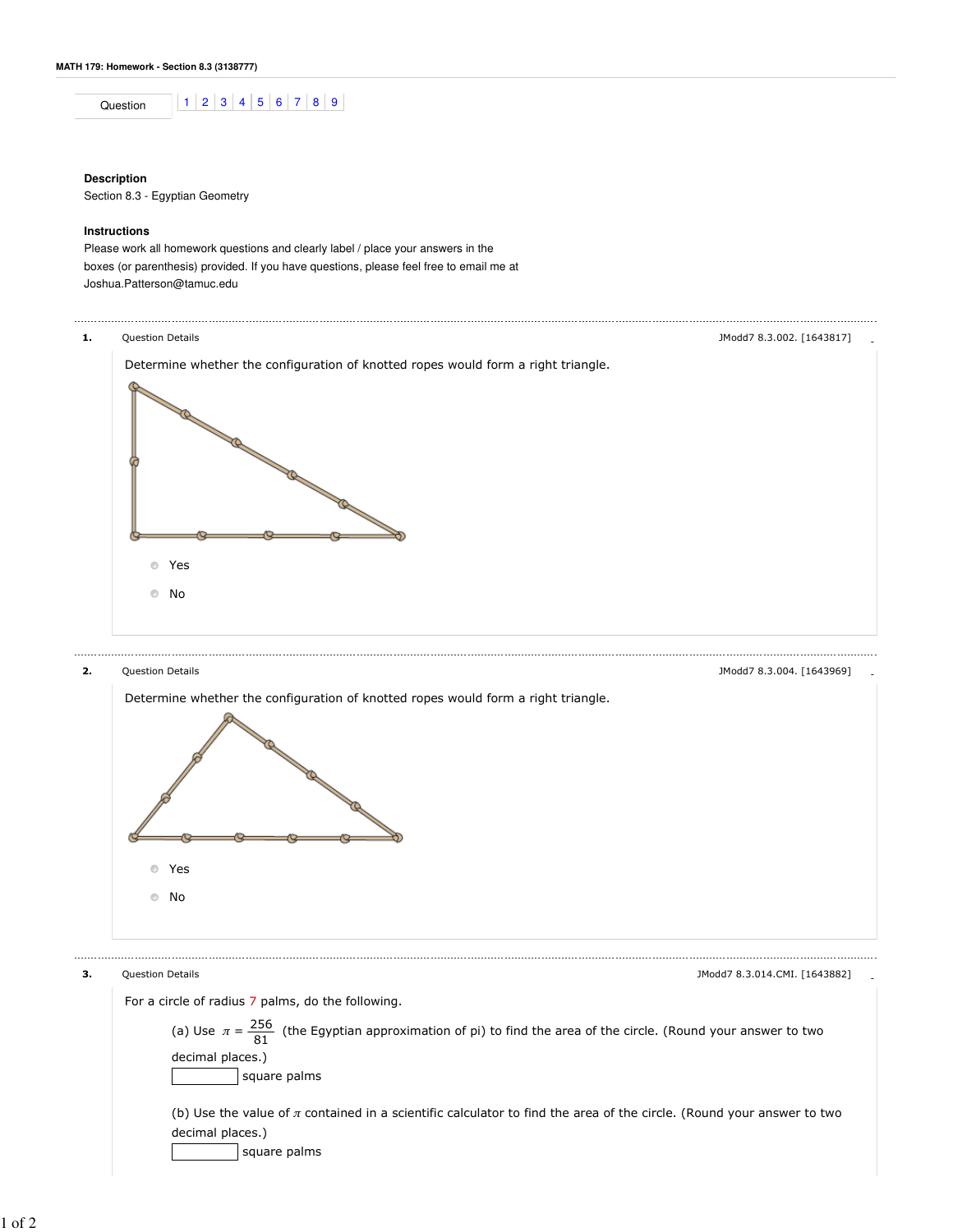Question 1 2 3 4 5 6 7 8 9

## **Description**

Section 8.3 - Egyptian Geometry

## **Instructions**

Please work all homework questions and clearly label / place your answers in the boxes (or parenthesis) provided. If you have questions, please feel free to email me at Joshua.Patterson@tamuc.edu



(b) Use the value of  $\pi$  contained in a scientific calculator to find the area of the circle. (Round your answer to two decimal places.) square palms

1 of 2